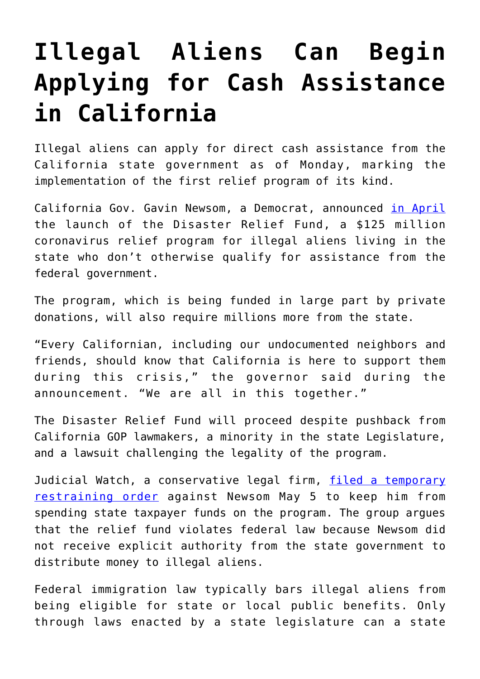## **[Illegal Aliens Can Begin](https://intellectualtakeout.org/2020/05/illegal-aliens-can-begin-applying-for-cash-assistance-in-california/) [Applying for Cash Assistance](https://intellectualtakeout.org/2020/05/illegal-aliens-can-begin-applying-for-cash-assistance-in-california/) [in California](https://intellectualtakeout.org/2020/05/illegal-aliens-can-begin-applying-for-cash-assistance-in-california/)**

Illegal aliens can apply for direct cash assistance from the California state government as of Monday, marking the implementation of the first relief program of its kind.

California Gov. Gavin Newsom, a Democrat, announced [in April](https://www.dailysignal.com/2020/04/16/california-offers-125-million-in-coronavirus-assistance-to-illegal-aliens/) the launch of the Disaster Relief Fund, a \$125 million coronavirus relief program for illegal aliens living in the state who don't otherwise qualify for assistance from the federal government.

The program, which is being funded in large part by private donations, will also require millions more from the state.

"Every Californian, including our undocumented neighbors and friends, should know that California is here to support them during this crisis," the governor said during the announcement. "We are all in this together."

The Disaster Relief Fund will proceed despite pushback from California GOP lawmakers, a minority in the state Legislature, and a lawsuit challenging the legality of the program.

Judicial Watch, a conservative legal firm, [filed a temporary](https://www.dailysignal.com/2020/05/06/lawsuit-aims-to-stop-gov-newsoms-spending-over-75-million-for-illegal-immigrants/) [restraining order](https://www.dailysignal.com/2020/05/06/lawsuit-aims-to-stop-gov-newsoms-spending-over-75-million-for-illegal-immigrants/) against Newsom May 5 to keep him from spending state taxpayer funds on the program. The group argues that the relief fund violates federal law because Newsom did not receive explicit authority from the state government to distribute money to illegal aliens.

Federal immigration law typically bars illegal aliens from being eligible for state or local public benefits. Only through laws enacted by a state legislature can a state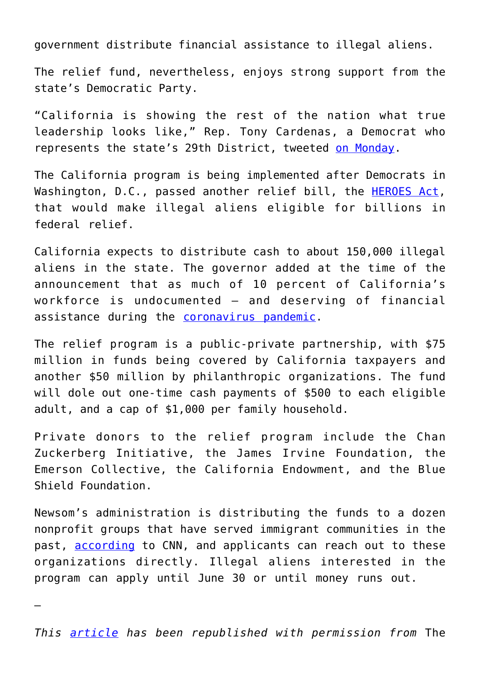government distribute financial assistance to illegal aliens.

The relief fund, nevertheless, enjoys strong support from the state's Democratic Party.

"California is showing the rest of the nation what true leadership looks like," Rep. Tony Cardenas, a Democrat who represents the state's 29th District, tweeted [on Monday.](https://twitter.com/RepCardenas/status/1262414105207595010)

The California program is being implemented after Democrats in Washington, D.C., passed another relief bill, the [HEROES Act,](https://www.dailysignal.com/2020/05/13/speaker-pelosis-coronavirus-bill-includes-billions-for-eligible-illegal-aliens/) that would make illegal aliens eligible for billions in federal relief.

California expects to distribute cash to about 150,000 illegal aliens in the state. The governor added at the time of the announcement that as much of 10 percent of California's workforce is undocumented – and deserving of financial assistance during the **coronavirus** pandemic.

The relief program is a public-private partnership, with \$75 million in funds being covered by California taxpayers and another \$50 million by philanthropic organizations. The fund will dole out one-time cash payments of \$500 to each eligible adult, and a cap of \$1,000 per family household.

Private donors to the relief program include the Chan Zuckerberg Initiative, the James Irvine Foundation, the Emerson Collective, the California Endowment, and the Blue Shield Foundation.

Newsom's administration is distributing the funds to a dozen nonprofit groups that have served immigrant communities in the past, [according](https://www.cnn.com/2020/05/18/us/california-undocumented-immigrants-relief-fund-trnd/) to CNN, and applicants can reach out to these organizations directly. Illegal aliens interested in the program can apply until June 30 or until money runs out.

—

*This [article](https://www.dailysignal.com/2020/05/19/illegal-aliens-can-begin-applying-for-cash-assistance-in-california/) has been republished with permission from* The